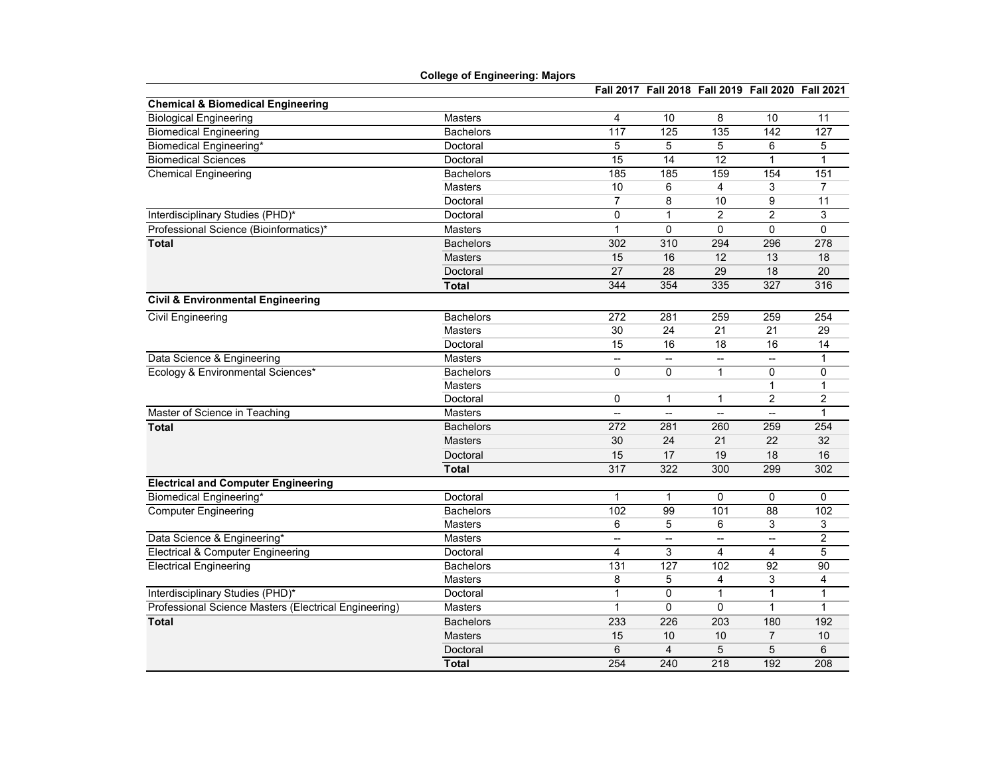|                                                       | <b>College of Engineering: Majors</b> |                |                                                   |                  |                          |              |
|-------------------------------------------------------|---------------------------------------|----------------|---------------------------------------------------|------------------|--------------------------|--------------|
|                                                       |                                       |                | Fall 2017 Fall 2018 Fall 2019 Fall 2020 Fall 2021 |                  |                          |              |
| <b>Chemical &amp; Biomedical Engineering</b>          |                                       |                |                                                   |                  |                          |              |
| <b>Biological Engineering</b>                         | Masters                               | 4              | 10                                                | 8                | 10                       | 11           |
| <b>Biomedical Engineering</b>                         | <b>Bachelors</b>                      | 117            | 125                                               | $\overline{135}$ | 142                      | 127          |
| Biomedical Engineering*                               | Doctoral                              | 5              | 5                                                 | 5                | 6                        | 5            |
| <b>Biomedical Sciences</b>                            | Doctoral                              | 15             | 14                                                | 12               | $\mathbf{1}$             | 1            |
| <b>Chemical Engineering</b>                           | <b>Bachelors</b>                      | 185            | 185                                               | 159              | 154                      | 151          |
|                                                       | <b>Masters</b>                        | 10             | 6                                                 | 4                | 3                        | 7            |
|                                                       | Doctoral                              | $\overline{7}$ | 8                                                 | 10               | 9                        | 11           |
| Interdisciplinary Studies (PHD)*                      | Doctoral                              | 0              | $\mathbf{1}$                                      | $\overline{c}$   | $\overline{2}$           | 3            |
| Professional Science (Bioinformatics)*                | <b>Masters</b>                        | $\mathbf{1}$   | 0                                                 | $\mathbf 0$      | 0                        | 0            |
| <b>Total</b>                                          | <b>Bachelors</b>                      | 302            | 310                                               | 294              | 296                      | 278          |
|                                                       | <b>Masters</b>                        | 15             | 16                                                | 12               | 13                       | 18           |
|                                                       | Doctoral                              | 27             | 28                                                | 29               | 18                       | 20           |
|                                                       | <b>Total</b>                          | 344            | 354                                               | 335              | 327                      | 316          |
| <b>Civil &amp; Environmental Engineering</b>          |                                       |                |                                                   |                  |                          |              |
| <b>Civil Engineering</b>                              | <b>Bachelors</b>                      | 272            | 281                                               | 259              | 259                      | 254          |
|                                                       | <b>Masters</b>                        | 30             | 24                                                | 21               | 21                       | 29           |
|                                                       | Doctoral                              | 15             | 16                                                | 18               | 16                       | 14           |
| Data Science & Engineering                            | <b>Masters</b>                        | -−             | $\overline{\phantom{a}}$                          | --               | $\overline{\phantom{a}}$ | 1            |
| Ecology & Environmental Sciences*                     | <b>Bachelors</b>                      | $\Omega$       | $\Omega$                                          | $\mathbf{1}$     | 0                        | $\pmb{0}$    |
|                                                       | <b>Masters</b>                        |                |                                                   |                  | $\mathbf{1}$             | 1            |
|                                                       | Doctoral                              | 0              | $\mathbf{1}$                                      | 1                | $\overline{\mathbf{c}}$  | 2            |
| Master of Science in Teaching                         | <b>Masters</b>                        |                | Ξ.                                                | −−               | ÷,                       | $\mathbf{1}$ |
| <b>Total</b>                                          | <b>Bachelors</b>                      | 272            | 281                                               | 260              | 259                      | 254          |
|                                                       | <b>Masters</b>                        | 30             | 24                                                | 21               | 22                       | 32           |
|                                                       | Doctoral                              | 15             | 17                                                | 19               | 18                       | 16           |
|                                                       | <b>Total</b>                          | 317            | 322                                               | 300              | 299                      | 302          |
| <b>Electrical and Computer Engineering</b>            |                                       |                |                                                   |                  |                          |              |
| <b>Biomedical Engineering*</b>                        | Doctoral                              | 1              | 1                                                 | 0                | 0                        | 0            |
| <b>Computer Engineering</b>                           | <b>Bachelors</b>                      | 102            | 99                                                | 101              | 88                       | 102          |
|                                                       | <b>Masters</b>                        | 6              | 5                                                 | 6                | 3                        | 3            |
| Data Science & Engineering*                           | <b>Masters</b>                        | --             | --                                                | --               | --                       | 2            |
| <b>Electrical &amp; Computer Engineering</b>          | Doctoral                              | 4              | 3                                                 | 4                | 4                        | 5            |
| <b>Electrical Engineering</b>                         | <b>Bachelors</b>                      | 131            | 127                                               | 102              | 92                       | 90           |
|                                                       | <b>Masters</b>                        | 8              | 5                                                 | 4                | 3                        | 4            |
| Interdisciplinary Studies (PHD)*                      | Doctoral                              | $\mathbf{1}$   | $\mathbf 0$                                       | $\mathbf{1}$     | $\mathbf{1}$             | $\mathbf{1}$ |
| Professional Science Masters (Electrical Engineering) | <b>Masters</b>                        | $\mathbf{1}$   | $\mathbf 0$                                       | $\mathbf{0}$     | $\mathbf{1}$             | $\mathbf{1}$ |
| <b>Total</b>                                          | <b>Bachelors</b>                      | 233            | 226                                               | $\overline{203}$ | 180                      | 192          |
|                                                       | <b>Masters</b>                        | 15             | 10                                                | 10               | $\overline{7}$           | 10           |
|                                                       | Doctoral                              | 6              | $\overline{4}$                                    | 5                | 5                        | 6            |
|                                                       | <b>Total</b>                          | 254            | 240                                               | $\overline{218}$ | 192                      | 208          |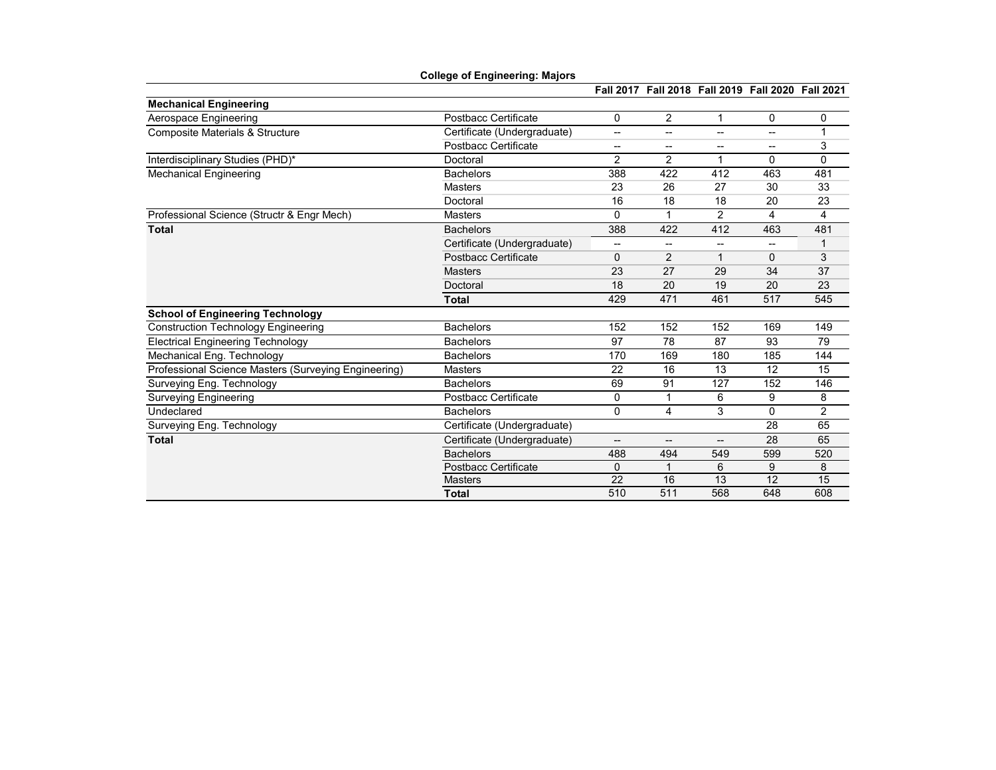|                                                      | <b>College of Engineering: Majors</b> |                |                                                   |                |                          |                |
|------------------------------------------------------|---------------------------------------|----------------|---------------------------------------------------|----------------|--------------------------|----------------|
|                                                      |                                       |                | Fall 2017 Fall 2018 Fall 2019 Fall 2020 Fall 2021 |                |                          |                |
| <b>Mechanical Engineering</b>                        |                                       |                |                                                   |                |                          |                |
| Aerospace Engineering                                | Postbacc Certificate                  | 0              | $\overline{2}$                                    | 1              | 0                        | 0              |
| <b>Composite Materials &amp; Structure</b>           | Certificate (Undergraduate)           | --             | --                                                | --             | --                       | 1              |
|                                                      | Postbacc Certificate                  | --             | --                                                | --             | --                       | 3              |
| Interdisciplinary Studies (PHD)*                     | Doctoral                              | $\overline{2}$ | $\overline{2}$                                    | 1              | $\Omega$                 | $\Omega$       |
| <b>Mechanical Engineering</b>                        | <b>Bachelors</b>                      | 388            | 422                                               | 412            | 463                      | 481            |
|                                                      | Masters                               | 23             | 26                                                | 27             | 30                       | 33             |
|                                                      | Doctoral                              | 16             | 18                                                | 18             | 20                       | 23             |
| Professional Science (Structr & Engr Mech)           | <b>Masters</b>                        | 0              | 1                                                 | $\overline{2}$ | 4                        | 4              |
| <b>Total</b>                                         | <b>Bachelors</b>                      | 388            | 422                                               | 412            | 463                      | 481            |
|                                                      | Certificate (Undergraduate)           | --             | --                                                | --             | $\overline{\phantom{a}}$ | 1              |
|                                                      | <b>Postbacc Certificate</b>           | 0              | $\overline{2}$                                    | 1              | 0                        | 3              |
|                                                      | <b>Masters</b>                        | 23             | 27                                                | 29             | 34                       | 37             |
|                                                      | Doctoral                              | 18             | 20                                                | 19             | 20                       | 23             |
|                                                      | <b>Total</b>                          | 429            | 471                                               | 461            | 517                      | 545            |
| <b>School of Engineering Technology</b>              |                                       |                |                                                   |                |                          |                |
| <b>Construction Technology Engineering</b>           | <b>Bachelors</b>                      | 152            | 152                                               | 152            | 169                      | 149            |
| <b>Electrical Engineering Technology</b>             | <b>Bachelors</b>                      | 97             | 78                                                | 87             | 93                       | 79             |
| Mechanical Eng. Technology                           | <b>Bachelors</b>                      | 170            | 169                                               | 180            | 185                      | 144            |
| Professional Science Masters (Surveying Engineering) | <b>Masters</b>                        | 22             | 16                                                | 13             | 12                       | 15             |
| Surveying Eng. Technology                            | <b>Bachelors</b>                      | 69             | 91                                                | 127            | 152                      | 146            |
| <b>Surveying Engineering</b>                         | Postbacc Certificate                  | 0              | 1                                                 | 6              | 9                        | 8              |
| Undeclared                                           | <b>Bachelors</b>                      | 0              | 4                                                 | 3              | $\Omega$                 | $\overline{2}$ |
| Surveying Eng. Technology                            | Certificate (Undergraduate)           |                |                                                   |                | 28                       | 65             |
| <b>Total</b>                                         | Certificate (Undergraduate)           | --             | --                                                | --             | 28                       | 65             |
|                                                      | <b>Bachelors</b>                      | 488            | 494                                               | 549            | 599                      | 520            |
|                                                      | <b>Postbacc Certificate</b>           | 0              | 1                                                 | 6              | 9                        | 8              |
|                                                      | <b>Masters</b>                        | 22             | 16                                                | 13             | 12                       | 15             |
|                                                      | <b>Total</b>                          | 510            | 511                                               | 568            | 648                      | 608            |